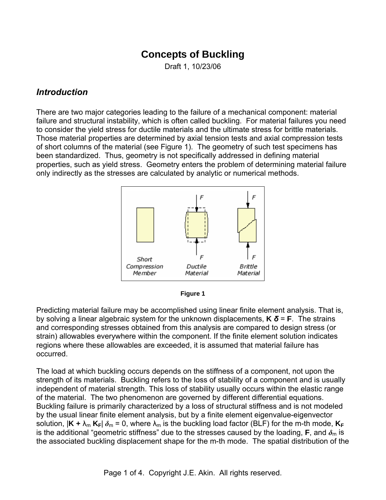# **Concepts of Buckling**

Draft 1, 10/23/06

#### *Introduction*

There are two major categories leading to the failure of a mechanical component: material failure and structural instability, which is often called buckling. For material failures you need to consider the yield stress for ductile materials and the ultimate stress for brittle materials. Those material properties are determined by axial tension tests and axial compression tests of short columns of the material (see Figure 1). The geometry of such test specimens has been standardized. Thus, geometry is not specifically addressed in defining material properties, such as yield stress. Geometry enters the problem of determining material failure only indirectly as the stresses are calculated by analytic or numerical methods.





Predicting material failure may be accomplished using linear finite element analysis. That is, by solving a linear algebraic system for the unknown displacements, **K** *δ* = **F**. The strains and corresponding stresses obtained from this analysis are compared to design stress (or strain) allowables everywhere within the component. If the finite element solution indicates regions where these allowables are exceeded, it is assumed that material failure has occurred.

The load at which buckling occurs depends on the stiffness of a component, not upon the strength of its materials. Buckling refers to the loss of stability of a component and is usually independent of material strength. This loss of stability usually occurs within the elastic range of the material. The two phenomenon are governed by different differential equations. Buckling failure is primarily characterized by a loss of structural stiffness and is not modeled by the usual linear finite element analysis, but by a finite element eigenvalue-eigenvector solution,  $|K + \lambda_m K_F| \delta_m = 0$ , where  $\lambda_m$  is the buckling load factor (BLF) for the m-th mode,  $K_F$ is the additional "geometric stiffness" due to the stresses caused by the loading, **F**, and  $\delta_{\rm m}$  is the associated buckling displacement shape for the m-th mode. The spatial distribution of the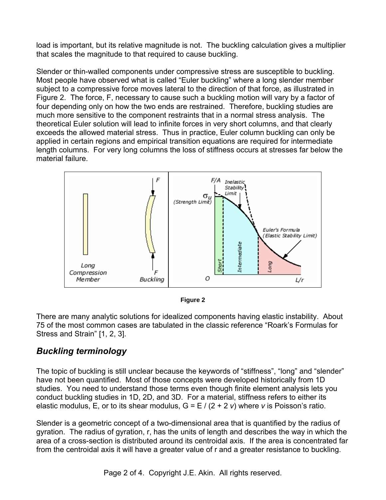load is important, but its relative magnitude is not. The buckling calculation gives a multiplier that scales the magnitude to that required to cause buckling.

Slender or thin-walled components under compressive stress are susceptible to buckling. Most people have observed what is called "Euler buckling" where a long slender member subject to a compressive force moves lateral to the direction of that force, as illustrated in Figure 2. The force, F, necessary to cause such a buckling motion will vary by a factor of four depending only on how the two ends are restrained. Therefore, buckling studies are much more sensitive to the component restraints that in a normal stress analysis. The theoretical Euler solution will lead to infinite forces in very short columns, and that clearly exceeds the allowed material stress. Thus in practice, Euler column buckling can only be applied in certain regions and empirical transition equations are required for intermediate length columns. For very long columns the loss of stiffness occurs at stresses far below the material failure.



**Figure 2** 

There are many analytic solutions for idealized components having elastic instability. About 75 of the most common cases are tabulated in the classic reference "Roark's Formulas for Stress and Strain" [1, 2, 3].

### *Buckling terminology*

The topic of buckling is still unclear because the keywords of "stiffness", "long" and "slender" have not been quantified. Most of those concepts were developed historically from 1D studies. You need to understand those terms even though finite element analysis lets you conduct buckling studies in 1D, 2D, and 3D. For a material, stiffness refers to either its elastic modulus, E, or to its shear modulus,  $G = E / (2 + 2)$  where *v* is Poisson's ratio.

Slender is a geometric concept of a two-dimensional area that is quantified by the radius of gyration. The radius of gyration, r, has the units of length and describes the way in which the area of a cross-section is distributed around its centroidal axis. If the area is concentrated far from the centroidal axis it will have a greater value of r and a greater resistance to buckling.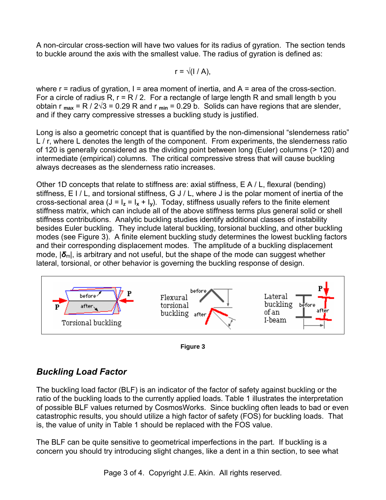A non-circular cross-section will have two values for its radius of gyration. The section tends to buckle around the axis with the smallest value. The radius of gyration is defined as:

 $r = \sqrt{(1/A)}$ .

where  $r =$  radius of gyration,  $l =$  area moment of inertia, and  $A =$  area of the cross-section. For a circle of radius R,  $r = R / 2$ . For a rectangle of large length R and small length b you obtain r  $_{max}$  = R / 2 $\sqrt{3}$  = 0.29 R and r  $_{min}$  = 0.29 b. Solids can have regions that are slender, and if they carry compressive stresses a buckling study is justified.

Long is also a geometric concept that is quantified by the non-dimensional "slenderness ratio" L / r, where L denotes the length of the component. From experiments, the slenderness ratio of 120 is generally considered as the dividing point between long (Euler) columns (> 120) and intermediate (empirical) columns. The critical compressive stress that will cause buckling always decreases as the slenderness ratio increases.

Other 1D concepts that relate to stiffness are: axial stiffness, E A / L, flexural (bending) stiffness, E I / L, and torsional stiffness, G J / L, where J is the polar moment of inertia of the cross-sectional area  $(J = I_z = I_x + I_y)$ . Today, stiffness usually refers to the finite element stiffness matrix, which can include all of the above stiffness terms plus general solid or shell stiffness contributions. Analytic buckling studies identify additional classes of instability besides Euler buckling. They include lateral buckling, torsional buckling, and other buckling modes (see Figure 3). A finite element buckling study determines the lowest buckling factors and their corresponding displacement modes. The amplitude of a buckling displacement mode,  $\delta$ <sub>m</sub>, is arbitrary and not useful, but the shape of the mode can suggest whether lateral, torsional, or other behavior is governing the buckling response of design.





## *Buckling Load Factor*

The buckling load factor (BLF) is an indicator of the factor of safety against buckling or the ratio of the buckling loads to the currently applied loads. Table 1 illustrates the interpretation of possible BLF values returned by CosmosWorks. Since buckling often leads to bad or even catastrophic results, you should utilize a high factor of safety (FOS) for buckling loads. That is, the value of unity in Table 1 should be replaced with the FOS value.

The BLF can be quite sensitive to geometrical imperfections in the part. If buckling is a concern you should try introducing slight changes, like a dent in a thin section, to see what